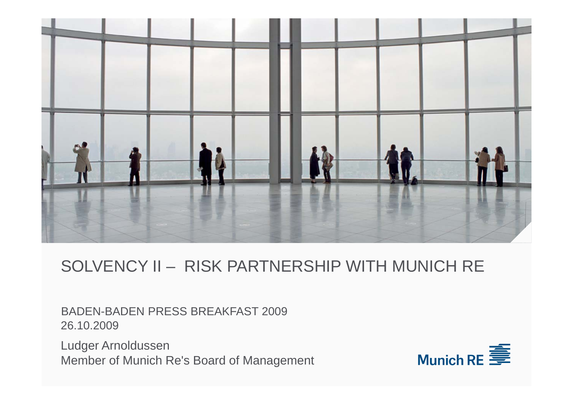

# SOLVENCY II – RISK PARTNERSHIP WITH MUNICH RE

BADEN-BADEN PRESS BREAKFAST 2009 26.10.2009

Ludger Arnoldussen Member of Munich Re's Board of Management

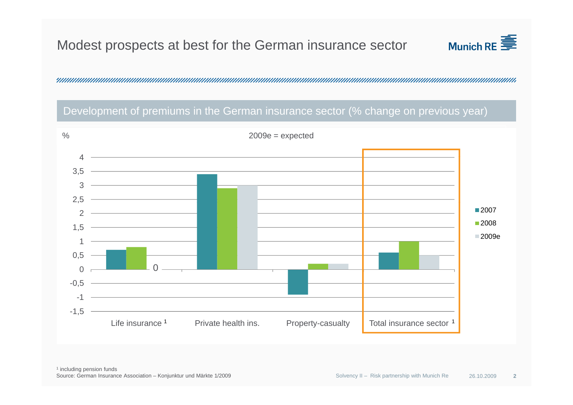## Modest prospects at best for the German insurance sector



, 1999) — 1999-1999 — 1999-1999 — 1999-1999 — 1999-1999 — 1999-1999 — 1999-1999 — 1999-1999 — 1999-1999 — 1999<br>Martin Alexandro Monte Martin Martin Martin Martin Martin Martin Martin Martin Martin Martin Martin Martin Mar

#### Development of premiums in the German insurance sector (% change on previous year)

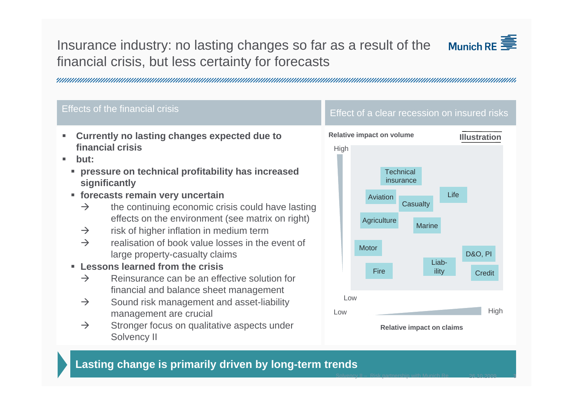## Insurance industry: no lasting changes so far as a result of the financial crisis, but less certainty for forecasts



#### Effects of the financial crisis  $\blacksquare$  Effect of a clear recession on insured risks

- ш **Currently no lasting changes expected due to financial crisis**
- **b tut:**г
	- **pressure on technical profitability has increased significantly**
	- **forecasts remain very uncertain Aviation** Aviation **Life** 
		- $\rightarrow$ the continuing economic crisis could have lasting effects on the environment (see matrix on right)
		- $\rightarrow$ risk of higher inflation in medium term
		- $\rightarrow$  realisation of book value losses in the event of large property-casualty claims
	- **Lessons learned from the crisis**
		- $\rightarrow$  Reinsurance can be an effective solution for financial and balance sheet mana gement g
		- $\rightarrow$  Sound risk management and asset-liability management are crucial
		- $\rightarrow$  Stronger focus on qualitative aspects under Solvency II



### **Lasting change is primarily driven by long-term trends**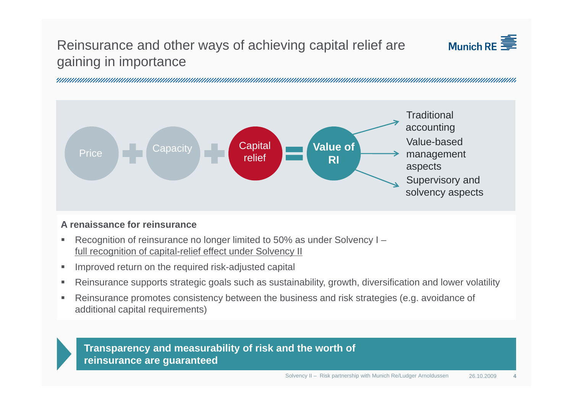## Reinsurance and other ways of achieving capital relief are gaining in importance



, 1999) — 1999-1999) — 1999-1999 — 1999-1999 — 1999-1999 — 1999-1999 — 1999-1999 — 1999-1999 — 1999-1999 — 199



#### **A renaissance for reinsurance**

- $\blacksquare$  Recognition of reinsurance no longer limited to 50% as under Solvency I – <u>full recognition of capital-relief effect under Solvency II</u>
- $\blacksquare$ Improved return on the required risk-adjusted capital
- Reinsurance supports strategic goals such as sustainability, growth, diversification and lower volatility
- Reinsurance promotes consistency between the business and risk strategies (e.g. avoidance of<br>additional capital requirements)  $\blacksquare$

#### **Transparency and measurability of risk and the worth of reinsurance are guaranteed**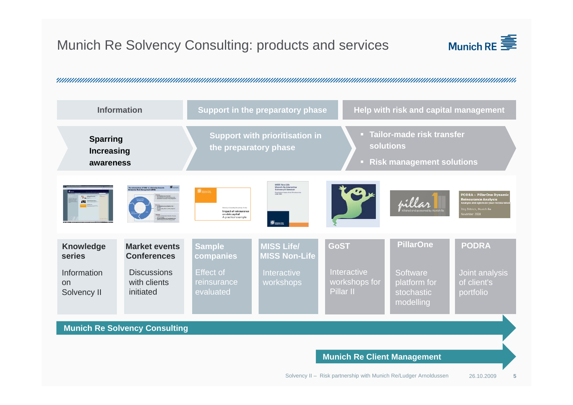## Munich Re Solvency Consulting: products and services



, 1999) — 1999-1999 — 1999-1999 — 1999-1999 — 1999-1999 — 1999-1999 — 1999-1999 — 1999-1999 — 1999-1999 — 1999<br>Martin Alexandro Martin Martin Martin Martin Martin Martin Martin Martin Martin Martin Martin Martin Martin Ma

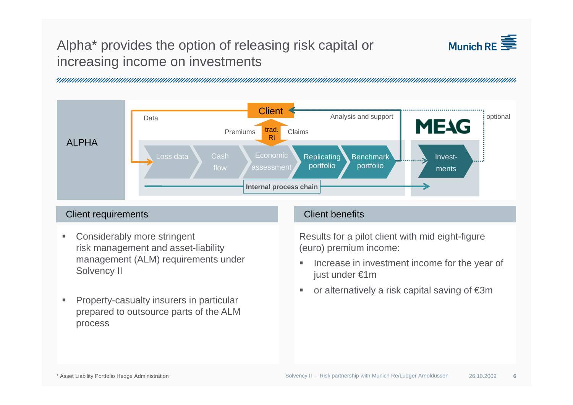## Alpha\* provides the option of releasing risk capital or increasing income on investments



, 1999) — 1999-1999 — 1999-1999 — 1999-1999 — 1999-1999 — 1999-1999 — 1999-1999 — 1999-1999 — 1999-1999 — 1999<br>Martin Alexandro Monte Martin Martin Martin Martin Martin Martin Martin Martin Martin Martin Martin Martin Mar



#### **Client requirements** Client benefits

- $\mathbf{u}$  Considerably more stringent risk management and asset-liability management (ALM) requirements under Solvency II
- Property-casualty insurers in particular prepared to outsource parts of the ALM process

Results for a pilot client with mid eight-figure (euro) premium income:

- $\blacksquare$  Increase in investment income for the year of just under €1m
- п ■ or alternatively a risk capital saving of €3m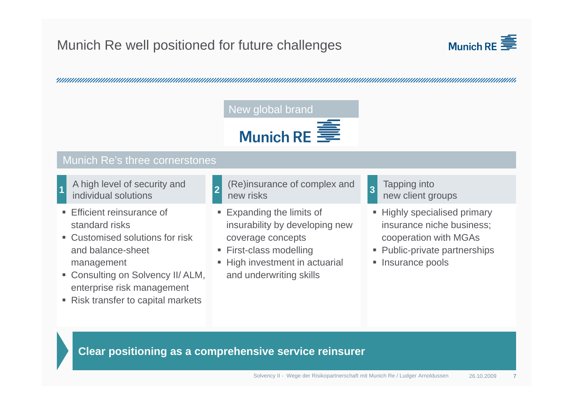## Munich Re well positioned for future challenges





#### Munich Re's three cornerstones

A high level of security and

- **Efficient reinsurance of** standard risks
- Customised solutions for risk and balance sheet balance-sheet management
- Consulting on Solvency II/ ALM, enterprise risk management
- Risk transfer to capital markets
- individual solutionsnew client groups **<sup>1</sup> <sup>2</sup>** (Re)insurance of complex and new risks
	- **Expanding the limits of** insurability by developing new coverage concepts
	- First-class modelling
	- High investment in actuarial and underwriting skills
- Tapping into **3**
- **Highly specialised primary** insurance niche business; cooperation with MGAs
- **Public-private partnerships**
- Insurance pools

**Clear positioning as a comprehensive service reinsurer**